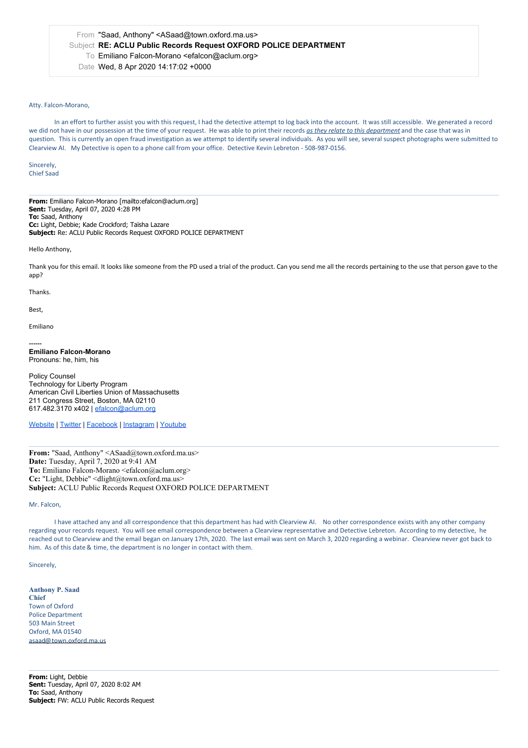## From "Saad, Anthony" <ASaad@town.oxford.ma.us> Subject **RE: ACLU Public Records Request OXFORD POLICE DEPARTMENT** To Emiliano Falcon-Morano <efalcon@aclum.org> Date Wed, 8 Apr 2020 14:17:02 +0000

## Atty. Falcon-Morano,

In an effort to further assist you with this request, I had the detective attempt to log back into the account. It was still accessible. We generated a record we did not have in our possession at the time of your request. He was able to print their records *as they relate to this department* and the case that was in question. This is currently an open fraud investigation as we attempt to identify several individuals. As you will see, several suspect photographs were submitted to Clearview AI. My Detective is open to a phone call from youroffice. Detective Kevin Lebreton - 508-987-0156.

Sincerely, Chief Saad

**From:** Emiliano Falcon-Morano [mailto:efalcon@aclum.org] **Sent:** Tuesday, April 07, 2020 4:28 PM **To:** Saad, Anthony **Cc:** Light, Debbie; Kade Crockford; Taïsha Lazare **Subject:** Re: ACLU Public Records Request OXFORD POLICE DEPARTMENT

Hello Anthony,

Thank you for this email. It looks like someone from the PD used a trial of the product. Can you send me all the records pertaining to the use that person gave to the app?

Thanks.

Best,

Emiliano

**------ Emiliano Falcon-Morano** Pronouns: he, him, his

Policy Counsel Technology for Liberty Program American Civil Liberties Union of Massachusetts 211 Congress Street, Boston, MA 02110 617.482.3170 x402 | [efalcon@aclum.org](mailto:efalcon@aclum.org)

[Website](https://linkprotect.cudasvc.com/url?a=http%253a%252f%252faclum.org%252f&c=E,1,44__qNJryCrAmSIRotqyhcMMYwLlaUG15zoGhjVo5jmoOEP9zQE7iSt_zCFouBbhbUuROFcBh5fH0hVph0QWIkSDsNPNd-tiIg41BhNRjQw,&typo=1) | [Twitter](https://linkprotect.cudasvc.com/url?a=http%253a%252f%252ftwitter.com%252faclu_mass&c=E,1,FUs9BjlypauUZStycoyYVdKN1JotocoypuF06npcBjnziSPio7eJ-fpF7t3oZgEGD0NSCMMEsLv8F2n6Etk0YOOJZr8f3mRG1NwSRTy9StNwtGhcmrTPag,,&typo=1) | [Facebook](https://www.facebook.com/aclumass/) | [Instagram](https://www.instagram.com/aclu_mass/) | [Youtube](https://www.youtube.com/channel/UC14AFyqfizR4gMAMa8KlZ3A)

From: "Saad, Anthony" <ASaad@town.oxford.ma.us> **Date:** Tuesday, April 7, 2020 at 9:41 AM To: Emiliano Falcon-Morano <efalcon@aclum.org> **Cc:** "Light, Debbie" <dlight@town.oxford.ma.us> **Subject:** ACLU Public Records Request OXFORD POLICE DEPARTMENT

Mr. Falcon,

I have attached any and all correspondence that this department has had with Clearview AI. No other correspondence exists with any other company regarding your records request. You will see email correspondence between a Clearview representative and Detective Lebreton. According to my detective, he reached out to Clearview and the email began on January 17th, 2020. The last email was sent on March 3, 2020 regarding a webinar. Clearview never got back to him. As of this date & time, the department is no longer in contact with them.

Sincerely,

## **Anthony P. Saad**

**Chief** Town of Oxford Police Department 503 Main Street Oxford, MA 01540 asaad@town.oxford.ma.us

**From:** Light, Debbie **Sent:** Tuesday, April 07, 2020 8:02 AM **To:** Saad, Anthony **Subject:** FW: ACLU Public Records Request